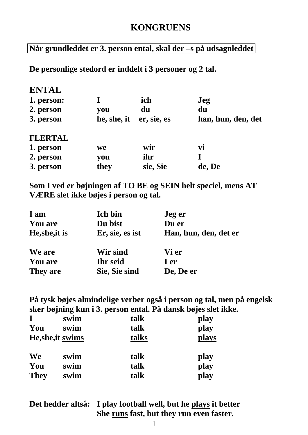## **KONGRUENS**

### **Når grundleddet er 3. person ental, skal der –s på udsagnleddet**

**De personlige stedord er inddelt i 3 personer og 2 tal.** 

| <b>ENTAL</b>   |             |             |                    |
|----------------|-------------|-------------|--------------------|
| 1. person:     |             | ich         | Jeg                |
| 2. person      | you         | du          | du                 |
| 3. person      | he, she, it | er, sie, es | han, hun, den, det |
| <b>FLERTAL</b> |             |             |                    |
| 1. person      | we          | wir         | VĬ                 |
| 2. person      | you         | ihr         |                    |
| 3. person      | they        | sie, Sie    | de, De             |

**Som I ved er bøjningen af TO BE og SEIN helt speciel, mens AT VÆRE slet ikke bøjes i person og tal.** 

| I am           | <b>Ich bin</b>  | Jeg er                |
|----------------|-----------------|-----------------------|
| You are        | Du bist         | Du er                 |
| He, she, it is | Er, sie, es ist | Han, hun, den, det er |
| We are         | Wir sind        | Vi er                 |
| You are        | <b>Ihr seid</b> | I er                  |
| They are       | Sie, Sie sind   | De, De er             |

**På tysk bøjes almindelige verber også i person og tal, men på engelsk sker bøjning kun i 3. person ental. På dansk bøjes slet ikke.** 

| $\mathbf I$ | swim              | talk  | play         |
|-------------|-------------------|-------|--------------|
| You         | swim              | talk  | play         |
|             | He, she, it swims | talks | <u>plays</u> |
| We          | swim              | talk  | play         |
| You         | swim              | talk  | play         |
| <b>They</b> | swim              | talk  | play         |

**Det hedder altså: I play football well, but he plays it better She runs fast, but they run even faster.**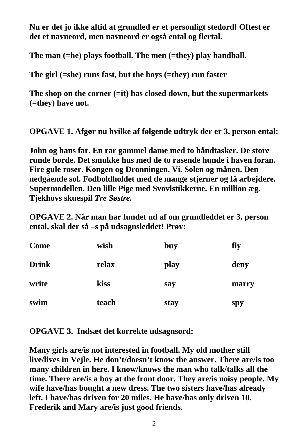**Nu er det jo ikke altid at grundled er et personligt stedord! Oftest er det et navneord, men navneord er også ental og flertal.** 

**The man (=he) plays football. The men (=they) play handball.** 

**The girl (=she) runs fast, but the boys (=they) run faster** 

**The shop on the corner (=it) has closed down, but the supermarkets (=they) have not.** 

**OPGAVE 1. Afgør nu hvilke af følgende udtryk der er 3. person ental:** 

**John og hans far. En rar gammel dame med to håndtasker. De store runde borde. Det smukke hus med de to rasende hunde i haven foran. Fire gule roser. Kongen og Dronningen. Vi. Solen og månen. Den nedgående sol. Fodboldholdet med de mange stjerner og få arbejdere. Supermodellen. Den lille Pige med Svovlstikkerne. En million æg. Tjekhovs skuespil** *Tre Søstre.*

**OPGAVE 2. Når man har fundet ud af om grundleddet er 3. person ental, skal der så –s på udsagnsleddet! Prøv:** 

| Come         | wish  | buy  | fly   |  |
|--------------|-------|------|-------|--|
| <b>Drink</b> | relax | play | deny  |  |
| write        | kiss  | say  | marry |  |
| swim         | teach | stay | spy   |  |

**OPGAVE 3. Indsæt det korrekte udsagnsord:** 

**Many girls are/is not interested in football. My old mother still live/lives in Vejle. He don't/doesn't know the answer. There are/is too many children in here. I know/knows the man who talk/talks all the time. There are/is a boy at the front door. They are/is noisy people. My wife have/has bought a new dress. The two sisters have/has already left. I have/has driven for 20 miles. He have/has only driven 10. Frederik and Mary are/is just good friends.**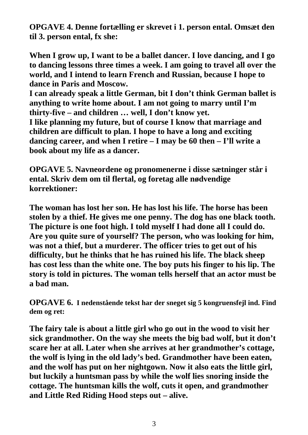**OPGAVE 4. Denne fortælling er skrevet i 1. person ental. Omsæt den til 3. person ental, fx she:** 

**When I grow up, I want to be a ballet dancer. I love dancing, and I go to dancing lessons three times a week. I am going to travel all over the world, and I intend to learn French and Russian, because I hope to dance in Paris and Moscow.** 

**I can already speak a little German, bit I don't think German ballet is anything to write home about. I am not going to marry until I'm thirty-five – and children … well, I don't know yet.** 

**I like planning my future, but of course I know that marriage and children are difficult to plan. I hope to have a long and exciting dancing career, and when I retire – I may be 60 then – I'll write a book about my life as a dancer.** 

**OPGAVE 5. Navneordene og pronomenerne i disse sætninger står i ental. Skriv dem om til flertal, og foretag alle nødvendige korrektioner:** 

**The woman has lost her son. He has lost his life. The horse has been stolen by a thief. He gives me one penny. The dog has one black tooth. The picture is one foot high. I told myself I had done all I could do. Are you quite sure of yourself? The person, who was looking for him, was not a thief, but a murderer. The officer tries to get out of his difficulty, but he thinks that he has ruined his life. The black sheep has cost less than the white one. The boy puts his finger to his lip. The story is told in pictures. The woman tells herself that an actor must be a bad man.** 

**OPGAVE 6. I nedenstående tekst har der sneget sig 5 kongruensfejl ind. Find dem og ret:** 

**The fairy tale is about a little girl who go out in the wood to visit her sick grandmother. On the way she meets the big bad wolf, but it don't scare her at all. Later when she arrives at her grandmother's cottage, the wolf is lying in the old lady's bed. Grandmother have been eaten, and the wolf has put on her nightgown. Now it also eats the little girl, but luckily a huntsman pass by while the wolf lies snoring inside the cottage. The huntsman kills the wolf, cuts it open, and grandmother and Little Red Riding Hood steps out – alive.**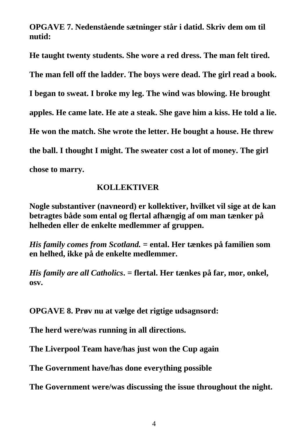**OPGAVE 7. Nedenstående sætninger står i datid. Skriv dem om til nutid:** 

**He taught twenty students. She wore a red dress. The man felt tired. The man fell off the ladder. The boys were dead. The girl read a book. I began to sweat. I broke my leg. The wind was blowing. He brought apples. He came late. He ate a steak. She gave him a kiss. He told a lie. He won the match. She wrote the letter. He bought a house. He threw the ball. I thought I might. The sweater cost a lot of money. The girl chose to marry.** 

### **KOLLEKTIVER**

**Nogle substantiver (navneord) er kollektiver, hvilket vil sige at de kan betragtes både som ental og flertal afhængig af om man tænker på helheden eller de enkelte medlemmer af gruppen.** 

*His family comes from Scotland.* **= ental. Her tænkes på familien som en helhed, ikke på de enkelte medlemmer.** 

*His family are all Catholics***. = flertal. Her tænkes på far, mor, onkel, osv.** 

**OPGAVE 8. Prøv nu at vælge det rigtige udsagnsord:** 

**The herd were/was running in all directions.** 

**The Liverpool Team have/has just won the Cup again** 

**The Government have/has done everything possible** 

**The Government were/was discussing the issue throughout the night.**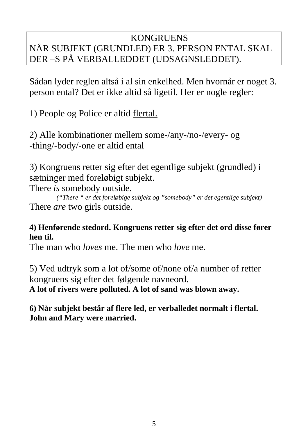# **KONGRUENS** NÅR SUBJEKT (GRUNDLED) ER 3. PERSON ENTAL SKAL DER –S PÅ VERBALLEDDET (UDSAGNSLEDDET).

Sådan lyder reglen altså i al sin enkelhed. Men hvornår er noget 3. person ental? Det er ikke altid så ligetil. Her er nogle regler:

1) People og Police er altid flertal.

2) Alle kombinationer mellem some-/any-/no-/every- og -thing/-body/-one er altid ental

3) Kongruens retter sig efter det egentlige subjekt (grundled) i sætninger med foreløbigt subjekt.

There *is* somebody outside.

*("There " er det foreløbige subjekt og "somebody" er det egentlige subjekt)*  There *are* two girls outside.

## **4) Henførende stedord. Kongruens retter sig efter det ord disse fører hen til.**

The man who *loves* me. The men who *love* me.

5) Ved udtryk som a lot of/some of/none of/a number of retter kongruens sig efter det følgende navneord.

**A lot of rivers were polluted. A lot of sand was blown away.** 

**6) Når subjekt består af flere led, er verballedet normalt i flertal. John and Mary were married.**